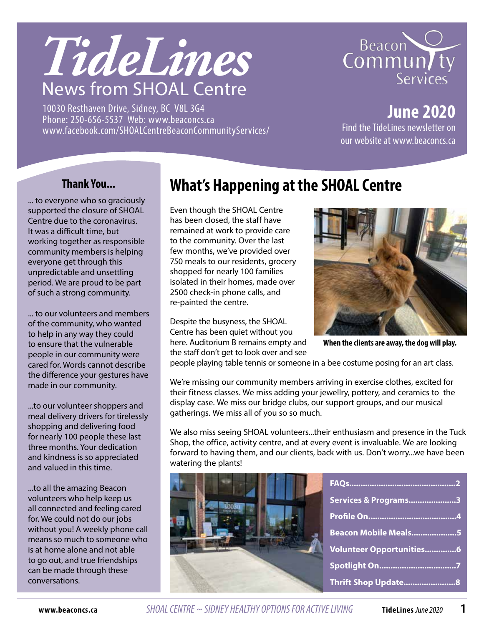

10030 Resthaven Drive, Sidney, BC V8L 3G4 Phone: 250-656-5537 Web: www.beaconcs.ca www.facebook.com/SHOALCentreBeaconCommunityServices/



**June 2020** Find the TideLines newsletter on our website at www.beaconcs.ca

### **Thank You...**

... to everyone who so graciously supported the closure of SHOAL Centre due to the coronavirus. It was a difficult time, but working together as responsible community members is helping everyone get through this unpredictable and unsettling period. We are proud to be part of such a strong community.

... to our volunteers and members of the community, who wanted to help in any way they could to ensure that the vulnerable people in our community were cared for. Words cannot describe the difference your gestures have made in our community.

...to our volunteer shoppers and meal delivery drivers for tirelessly shopping and delivering food for nearly 100 people these last three months. Your dedication and kindness is so appreciated and valued in this time.

...to all the amazing Beacon volunteers who help keep us all connected and feeling cared for. We could not do our jobs without you! A weekly phone call means so much to someone who is at home alone and not able to go out, and true friendships can be made through these conversations.

# **What's Happening at the SHOAL Centre**

Even though the SHOAL Centre has been closed, the staff have remained at work to provide care to the community. Over the last few months, we've provided over 750 meals to our residents, grocery shopped for nearly 100 families isolated in their homes, made over 2500 check-in phone calls, and re-painted the centre.

Despite the busyness, the SHOAL Centre has been quiet without you here. Auditorium B remains empty and the staff don't get to look over and see



**When the clients are away, the dog will play.** 

people playing table tennis or someone in a bee costume posing for an art class.

We're missing our community members arriving in exercise clothes, excited for their fitness classes. We miss adding your jewellry, pottery, and ceramics to the display case. We miss our bridge clubs, our support groups, and our musical gatherings. We miss all of you so so much.

We also miss seeing SHOAL volunteers...their enthusiasm and presence in the Tuck Shop, the office, activity centre, and at every event is invaluable. We are looking forward to having them, and our clients, back with us. Don't worry...we have been watering the plants!

|  | Services & Programs3            |
|--|---------------------------------|
|  |                                 |
|  | Beacon Mobile Meals5            |
|  | <b>Volunteer Opportunities6</b> |
|  |                                 |
|  | Thrift Shop Update 8            |

**www.beaconcs.ca** *SHOAL CENTRE ~ SIDNEY HEALTHY OPTIONS FOR ACTIVE LIVING* **TideLines** June 2020 **1**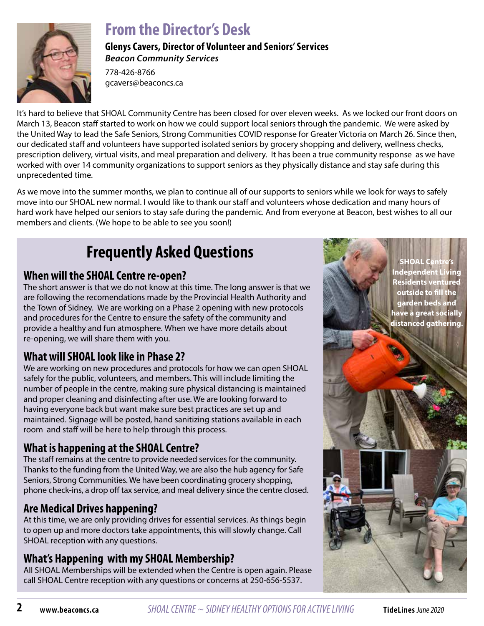

# **From the Director's Desk**

**Glenys Cavers, Director of Volunteer and Seniors' Services** *Beacon Community Services*

778-426-8766 gcavers@beaconcs.ca

It's hard to believe that SHOAL Community Centre has been closed for over eleven weeks. As we locked our front doors on March 13, Beacon staff started to work on how we could support local seniors through the pandemic. We were asked by the United Way to lead the Safe Seniors, Strong Communities COVID response for Greater Victoria on March 26. Since then, our dedicated staff and volunteers have supported isolated seniors by grocery shopping and delivery, wellness checks, prescription delivery, virtual visits, and meal preparation and delivery. It has been a true community response as we have worked with over 14 community organizations to support seniors as they physically distance and stay safe during this unprecedented time.

As we move into the summer months, we plan to continue all of our supports to seniors while we look for ways to safely move into our SHOAL new normal. I would like to thank our staff and volunteers whose dedication and many hours of hard work have helped our seniors to stay safe during the pandemic. And from everyone at Beacon, best wishes to all our members and clients. (We hope to be able to see you soon!)

# **Frequently Asked Questions**

### **When will the SHOAL Centre re-open?**

The short answer is that we do not know at this time. The long answer is that we are following the recomendations made by the Provincial Health Authority and the Town of Sidney. We are working on a Phase 2 opening with new protocols and procedures for the Centre to ensure the safety of the community and provide a healthy and fun atmosphere. When we have more details about re-opening, we will share them with you.

# **What will SHOAL look like in Phase 2?**

We are working on new procedures and protocols for how we can open SHOAL safely for the public, volunteers, and members. This will include limiting the number of people in the centre, making sure physical distancing is maintained and proper cleaning and disinfecting after use. We are looking forward to having everyone back but want make sure best practices are set up and maintained. Signage will be posted, hand sanitizing stations available in each room and staff will be here to help through this process.

# **What is happening at the SHOAL Centre?**

The staff remains at the centre to provide needed services for the community. Thanks to the funding from the United Way, we are also the hub agency for Safe Seniors, Strong Communities. We have been coordinating grocery shopping, phone check-ins, a drop off tax service, and meal delivery since the centre closed.

# **Are Medical Drives happening?**

At this time, we are only providing drives for essential services. As things begin to open up and more doctors take appointments, this will slowly change. Call SHOAL reception with any questions.

# **What's Happening with my SHOAL Membership?**

All SHOAL Memberships will be extended when the Centre is open again. Please call SHOAL Centre reception with any questions or concerns at 250-656-5537.

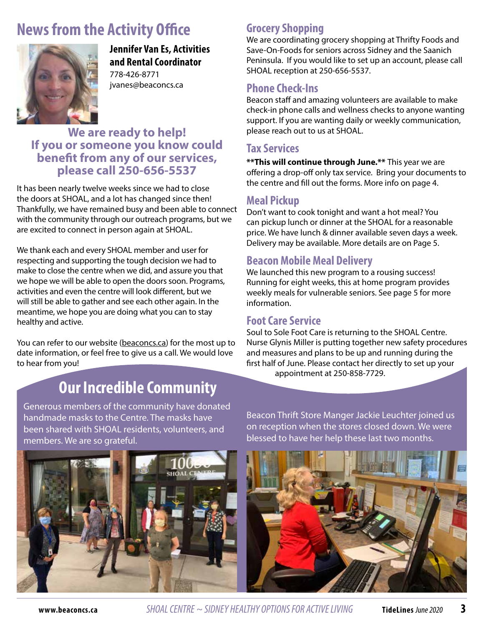# **News from the Activity Office**



**Jennifer Van Es, Activities and Rental Coordinator** 778-426-8771 jvanes@beaconcs.ca

### **We are ready to help! If you or someone you know could benefit from any of our services, please call 250-656-5537**

It has been nearly twelve weeks since we had to close the doors at SHOAL, and a lot has changed since then! Thankfully, we have remained busy and been able to connect with the community through our outreach programs, but we are excited to connect in person again at SHOAL.

We thank each and every SHOAL member and user for respecting and supporting the tough decision we had to make to close the centre when we did, and assure you that we hope we will be able to open the doors soon. Programs, activities and even the centre will look different, but we will still be able to gather and see each other again. In the meantime, we hope you are doing what you can to stay healthy and active.

You can refer to our website (beaconcs.ca) for the most up to date information, or feel free to give us a call. We would love to hear from you!

# **Grocery Shopping**

We are coordinating grocery shopping at Thrifty Foods and Save-On-Foods for seniors across Sidney and the Saanich Peninsula. If you would like to set up an account, please call SHOAL reception at 250-656-5537.

### **Phone Check-Ins**

Beacon staff and amazing volunteers are available to make check-in phone calls and wellness checks to anyone wanting support. If you are wanting daily or weekly communication, please reach out to us at SHOAL.

### **Tax Services**

**\*\*This will continue through June.\*\*** This year we are offering a drop-off only tax service. Bring your documents to the centre and fill out the forms. More info on page 4.

# **Meal Pickup**

Don't want to cook tonight and want a hot meal? You can pickup lunch or dinner at the SHOAL for a reasonable price. We have lunch & dinner available seven days a week. Delivery may be available. More details are on Page 5.

# **Beacon Mobile Meal Delivery**

We launched this new program to a rousing success! Running for eight weeks, this at home program provides weekly meals for vulnerable seniors. See page 5 for more information.

### **Foot Care Service**

Soul to Sole Foot Care is returning to the SHOAL Centre. Nurse Glynis Miller is putting together new safety procedures and measures and plans to be up and running during the first half of June. Please contact her directly to set up your appointment at 250-858-7729.

# **Our Incredible Community**

Generous members of the community have donated handmade masks to the Centre. The masks have been shared with SHOAL residents, volunteers, and members. We are so grateful.



Beacon Thrift Store Manger Jackie Leuchter joined us on reception when the stores closed down. We were blessed to have her help these last two months.



**www.beaconcs.ca** *SHOAL CENTRE ~ SIDNEY HEALTHY OPTIONS FOR ACTIVE LIVING* **TideLines** June 2020 **3**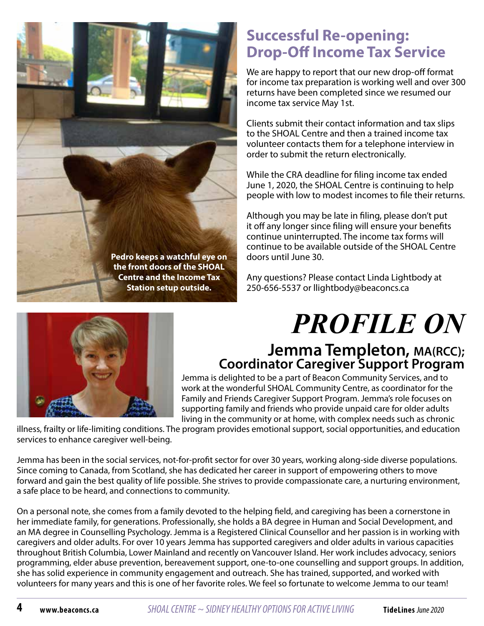

# **Successful Re-opening: Drop-Off Income Tax Service**

We are happy to report that our new drop-off format for income tax preparation is working well and over 300 returns have been completed since we resumed our income tax service May 1st.

Clients submit their contact information and tax slips to the SHOAL Centre and then a trained income tax volunteer contacts them for a telephone interview in order to submit the return electronically.

While the CRA deadline for filing income tax ended June 1, 2020, the SHOAL Centre is continuing to help people with low to modest incomes to file their returns.

Although you may be late in filing, please don't put it off any longer since filing will ensure your benefits continue uninterrupted. The income tax forms will continue to be available outside of the SHOAL Centre doors until June 30.

Any questions? Please contact Linda Lightbody at 250-656-5537 or llightbody@beaconcs.ca

# *PROFILE ON*

# **Jemma Templeton, MA(RCC); Coordinator Caregiver Support Program**

Jemma is delighted to be a part of Beacon Community Services, and to work at the wonderful SHOAL Community Centre, as coordinator for the Family and Friends Caregiver Support Program. Jemma's role focuses on supporting family and friends who provide unpaid care for older adults living in the community or at home, with complex needs such as chronic

illness, frailty or life-limiting conditions. The program provides emotional support, social opportunities, and education services to enhance caregiver well-being.

Jemma has been in the social services, not-for-profit sector for over 30 years, working along-side diverse populations. Since coming to Canada, from Scotland, she has dedicated her career in support of empowering others to move forward and gain the best quality of life possible. She strives to provide compassionate care, a nurturing environment, a safe place to be heard, and connections to community.

On a personal note, she comes from a family devoted to the helping field, and caregiving has been a cornerstone in her immediate family, for generations. Professionally, she holds a BA degree in Human and Social Development, and an MA degree in Counselling Psychology. Jemma is a Registered Clinical Counsellor and her passion is in working with caregivers and older adults. For over 10 years Jemma has supported caregivers and older adults in various capacities throughout British Columbia, Lower Mainland and recently on Vancouver Island. Her work includes advocacy, seniors programming, elder abuse prevention, bereavement support, one-to-one counselling and support groups. In addition, she has solid experience in community engagement and outreach. She has trained, supported, and worked with volunteers for many years and this is one of her favorite roles. We feel so fortunate to welcome Jemma to our team!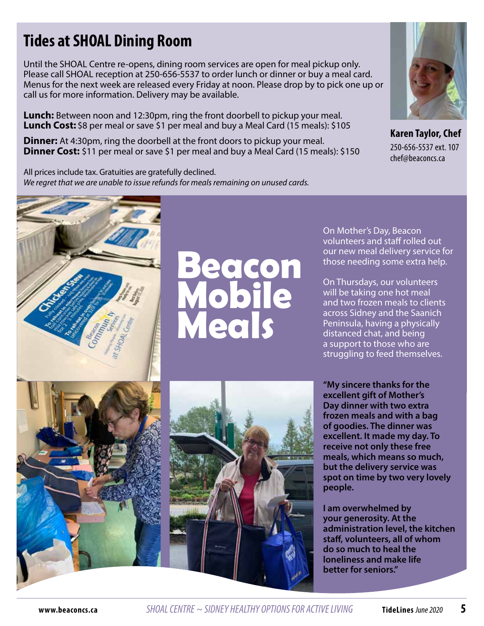# **Tides at SHOAL Dining Room**

Until the SHOAL Centre re-opens, dining room services are open for meal pickup only. Please call SHOAL reception at 250-656-5537 to order lunch or dinner or buy a meal card. Menus for the next week are released every Friday at noon. Please drop by to pick one up or call us for more information. Delivery may be available.

**Lunch:** Between noon and 12:30pm, ring the front doorbell to pickup your meal. **Lunch Cost:** \$8 per meal or save \$1 per meal and buy a Meal Card (15 meals): \$105

**Dinner:** At 4:30pm, ring the doorbell at the front doors to pickup your meal. **Dinner Cost:** \$11 per meal or save \$1 per meal and buy a Meal Card (15 meals): \$150

All prices include tax. Gratuities are gratefully declined. *We regret that we are unable to issue refunds for meals remaining on unused cards.*



**Karen Taylor, Chef**  250-656-5537 ext. 107 chef@beaconcs.ca



# $\bullet$   $\bullet$   $\bullet$   $\bullet$ **Mobile Meals**

On Mother's Day, Beacon volunteers and staff rolled out our new meal delivery service for those needing some extra help.

On Thursdays, our volunteers will be taking one hot meal and two frozen meals to clients across Sidney and the Saanich Peninsula, having a physically distanced chat, and being a support to those who are struggling to feed themselves.

**"My sincere thanks for the excellent gift of Mother's Day dinner with two extra frozen meals and with a bag of goodies. The dinner was excellent. It made my day. To receive not only these free meals, which means so much, but the delivery service was spot on time by two very lovely people.** 

**I am overwhelmed by your generosity. At the administration level, the kitchen staff, volunteers, all of whom do so much to heal the loneliness and make life better for seniors."**



**www.beaconcs.ca** *SHOAL CENTRE ~ SIDNEY HEALTHY OPTIONS FOR ACTIVE LIVING* **TideLines** June 2020 **5**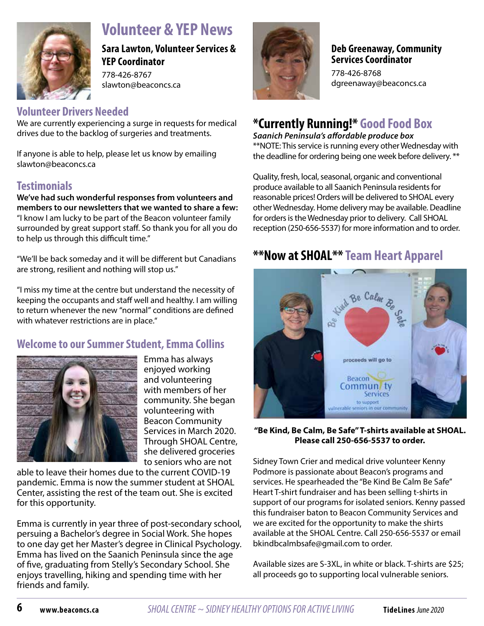

# **Volunteer & YEP News**

**Sara Lawton, Volunteer Services & YEP Coordinator** 

778-426-8767 slawton@beaconcs.ca

# **Volunteer Drivers Needed**

We are currently experiencing a surge in requests for medical drives due to the backlog of surgeries and treatments.

If anyone is able to help, please let us know by emailing slawton@beaconcs.ca

### **Testimonials**

**We've had such wonderful responses from volunteers and members to our newsletters that we wanted to share a few:** "I know I am lucky to be part of the Beacon volunteer family surrounded by great support staff. So thank you for all you do to help us through this difficult time."

"We'll be back someday and it will be different but Canadians are strong, resilient and nothing will stop us."

"I miss my time at the centre but understand the necessity of keeping the occupants and staff well and healthy. I am willing to return whenever the new "normal" conditions are defined with whatever restrictions are in place."

# **Welcome to our Summer Student, Emma Collins**



Emma has always enjoyed working and volunteering with members of her community. She began volunteering with Beacon Community Services in March 2020. Through SHOAL Centre, she delivered groceries to seniors who are not

able to leave their homes due to the current COVID-19 pandemic. Emma is now the summer student at SHOAL Center, assisting the rest of the team out. She is excited for this opportunity.

Emma is currently in year three of post-secondary school, persuing a Bachelor's degree in Social Work. She hopes to one day get her Master's degree in Clinical Psychology. Emma has lived on the Saanich Peninsula since the age of five, graduating from Stelly's Secondary School. She enjoys travelling, hiking and spending time with her friends and family.



### **Deb Greenaway, Community Services Coordinator**

778-426-8768 dgreenaway@beaconcs.ca

# **\*Currently Running!\* Good Food Box**

*Saanich Peninsula's affordable produce box* \*\*NOTE: This service is running every other Wednesday with

the deadline for ordering being one week before delivery. \*\*

Quality, fresh, local, seasonal, organic and conventional produce available to all Saanich Peninsula residents for reasonable prices! Orders will be delivered to SHOAL every other Wednesday. Home delivery may be available. Deadline for orders is the Wednesday prior to delivery. Call SHOAL reception (250-656-5537) for more information and to order.

# **\*\*Now at SHOAL\*\*Team Heart Apparel**



**"Be Kind, Be Calm, Be Safe" T-shirts available at SHOAL. Please call 250-656-5537 to order.** 

Sidney Town Crier and medical drive volunteer Kenny Podmore is passionate about Beacon's programs and services. He spearheaded the "Be Kind Be Calm Be Safe" Heart T-shirt fundraiser and has been selling t-shirts in support of our programs for isolated seniors. Kenny passed this fundraiser baton to Beacon Community Services and we are excited for the opportunity to make the shirts available at the SHOAL Centre. Call 250-656-5537 or email bkindbcalmbsafe@gmail.com to order.

Available sizes are S-3XL, in white or black. T-shirts are \$25; all proceeds go to supporting local vulnerable seniors.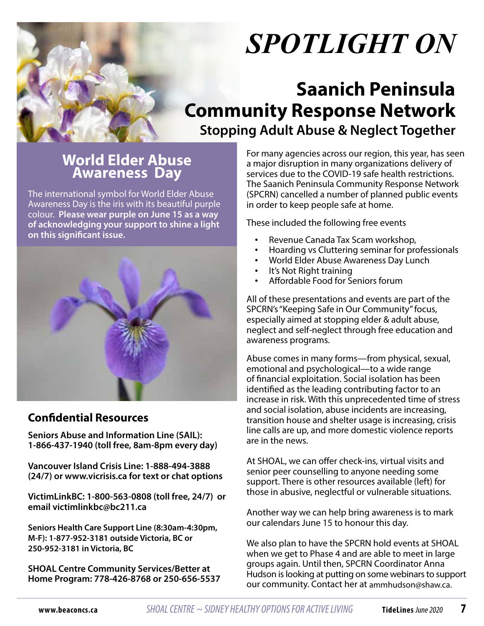

# *SPOTLIGHT ON*

# **Saanich Peninsula Community Response Network Stopping Adult Abuse & Neglect Together**

# **World Elder Abuse Awareness Day**

The international symbol for World Elder Abuse Awareness Day is the iris with its beautiful purple colour. **Please wear purple on June 15 as a way of acknowledging your support to shine a light on this significant issue.**



### **Confidential Resources**

**Seniors Abuse and Information Line (SAIL): 1-866-437-1940 (toll free, 8am-8pm every day)**

**Vancouver Island Crisis Line: 1-888-494-3888 (24/7) or www.vicrisis.ca for text or chat options**

**VictimLinkBC: 1-800-563-0808 (toll free, 24/7) or email victimlinkbc@bc211.ca** 

**Seniors Health Care Support Line (8:30am-4:30pm, M-F): 1-877-952-3181 outside Victoria, BC or 250-952-3181 in Victoria, BC**

**SHOAL Centre Community Services/Better at Home Program: 778-426-8768 or 250-656-5537** For many agencies across our region, this year, has seen a major disruption in many organizations delivery of services due to the COVID-19 safe health restrictions. The Saanich Peninsula Community Response Network (SPCRN) cancelled a number of planned public events in order to keep people safe at home.

These included the following free events

- Revenue Canada Tax Scam workshop,
- Hoarding vs Cluttering seminar for professionals
- World Elder Abuse Awareness Day Lunch
- It's Not Right training
- Affordable Food for Seniors forum

All of these presentations and events are part of the SPCRN's "Keeping Safe in Our Community" focus, especially aimed at stopping elder & adult abuse, neglect and self-neglect through free education and awareness programs.

Abuse comes in many forms—from physical, sexual, emotional and psychological—to a wide range of financial exploitation. Social isolation has been identified as the leading contributing factor to an increase in risk. With this unprecedented time of stress and social isolation, abuse incidents are increasing, transition house and shelter usage is increasing, crisis line calls are up, and more domestic violence reports are in the news.

At SHOAL, we can offer check-ins, virtual visits and senior peer counselling to anyone needing some support. There is other resources available (left) for those in abusive, neglectful or vulnerable situations.

Another way we can help bring awareness is to mark our calendars June 15 to honour this day.

We also plan to have the SPCRN hold events at SHOAL when we get to Phase 4 and are able to meet in large groups again. Until then, SPCRN Coordinator Anna Hudson is looking at putting on some webinars to support our community. Contact her at ammhudson@shaw.ca.